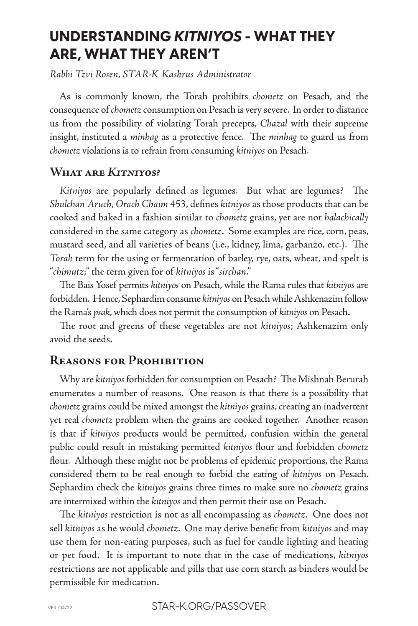# **UNDERSTANDING** *KITNIYOS* **- WHAT THEY ARE, WHAT THEY AREN'T**

*Rabbi Tzvi Rosen, STAR-K Kashrus Administrator*

As is commonly known, the Torah prohibits *chometz* on Pesach, and the consequence of *chometz* consumption on Pesach is very severe. In order to distance us from the possibility of violating Torah precepts, *Chazal* with their supreme insight, instituted a *minhag* as a protective fence. The *minhag* to guard us from *chometz* violations is to refrain from consuming *kitniyos* on Pesach.

#### **What are** *Kitniyos***?**

*Kitniyos* are popularly defined as legumes. But what are legumes? The *Shulchan Aruch*, *Orach Chaim* 453, defines *kitniyos* as those products that can be cooked and baked in a fashion similar to *chometz* grains, yet are not *halachically* considered in the same category as *chometz*. Some examples are rice, corn, peas, mustard seed, and all varieties of beans (i.e., kidney, lima, garbanzo, etc.). The *Torah* term for the using or fermentation of barley, rye, oats, wheat, and spelt is "*chimutz*;" the term given for of *kitniyos* is "*sirchan*."

The Bais Yosef permits *kitniyos* on Pesach, while the Rama rules that *kitniyos* are forbidden. Hence, Sephardim consume *kitniyos* on Pesach while Ashkenazim follow the Rama's *psak*, which does not permit the consumption of *kitniyos* on Pesach.

The root and greens of these vegetables are not *kitniyos*; Ashkenazim only avoid the seeds.

### **Reasons for Prohibition**

Why are *kitniyos* forbidden for consumption on Pesach? The Mishnah Berurah enumerates a number of reasons. One reason is that there is a possibility that *chometz* grains could be mixed amongst the *kitniyos* grains, creating an inadvertent yet real *chometz* problem when the grains are cooked together. Another reason is that if *kitniyos* products would be permitted, confusion within the general public could result in mistaking permitted *kitniyos* flour and forbidden *chometz* flour. Although these might not be problems of epidemic proportions, the Rama considered them to be real enough to forbid the eating of *kitniyos* on Pesach. Sephardim check the *kitniyos* grains three times to make sure no *chometz* grains are intermixed within the *kitniyos* and then permit their use on Pesach.

The *kitniyos* restriction is not as all encompassing as *chometz*. One does not sell *kitniyos* as he would *chometz*. One may derive benefit from *kitniyos* and may use them for non-eating purposes, such as fuel for candle lighting and heating or pet food. It is important to note that in the case of medications, *kitniyos* restrictions are not applicable and pills that use corn starch as binders would be permissible for medication.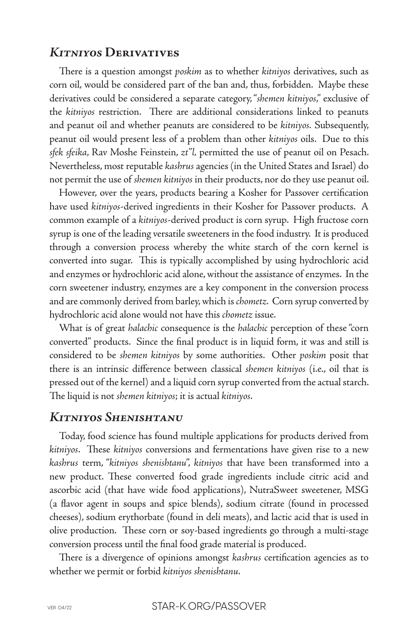#### *Kitniyos* **Derivatives**

There is a question amongst *poskim* as to whether *kitniyos* derivatives, such as corn oil, would be considered part of the ban and, thus, forbidden. Maybe these derivatives could be considered a separate category, "*shemen kitniyos*," exclusive of the *kitniyos* restriction. There are additional considerations linked to peanuts and peanut oil and whether peanuts are considered to be *kitniyos.* Subsequently, peanut oil would present less of a problem than other *kitniyos* oils. Due to this *sfek sfeika*, Rav Moshe Feinstein, *zt"l,* permitted the use of peanut oil on Pesach. Nevertheless, most reputable *kashrus* agencies (in the United States and Israel) do not permit the use of *shemen kitniyos* in their products, nor do they use peanut oil.

However, over the years, products bearing a Kosher for Passover certification have used *kitniyos*-derived ingredients in their Kosher for Passover products. A common example of a *kitniyos*-derived product is corn syrup. High fructose corn syrup is one of the leading versatile sweeteners in the food industry. It is produced through a conversion process whereby the white starch of the corn kernel is converted into sugar. This is typically accomplished by using hydrochloric acid and enzymes or hydrochloric acid alone, without the assistance of enzymes. In the corn sweetener industry, enzymes are a key component in the conversion process and are commonly derived from barley, which is *chometz*. Corn syrup converted by hydrochloric acid alone would not have this *chometz* issue.

What is of great *halachic* consequence is the *halachic* perception of these "corn converted" products. Since the final product is in liquid form, it was and still is considered to be *shemen kitniyos* by some authorities. Other *poskim* posit that there is an intrinsic difference between classical *shemen kitniyos* (i.e., oil that is pressed out of the kernel) and a liquid corn syrup converted from the actual starch. The liquid is not *shemen kitniyos*; it is actual *kitniyos*.

#### *Kitniyos Shenishtanu*

Today, food science has found multiple applications for products derived from *kitniyos*. These *kitniyos* conversions and fermentations have given rise to a new *kashrus* term, "*kitniyos shenishtanu*", *kitniyos* that have been transformed into a new product. These converted food grade ingredients include citric acid and ascorbic acid (that have wide food applications), NutraSweet sweetener, MSG (a flavor agent in soups and spice blends), sodium citrate (found in processed cheeses), sodium erythorbate (found in deli meats), and lactic acid that is used in olive production. These corn or soy-based ingredients go through a multi-stage conversion process until the final food grade material is produced.

There is a divergence of opinions amongst *kashrus* certification agencies as to whether we permit or forbid *kitniyos shenishtanu*.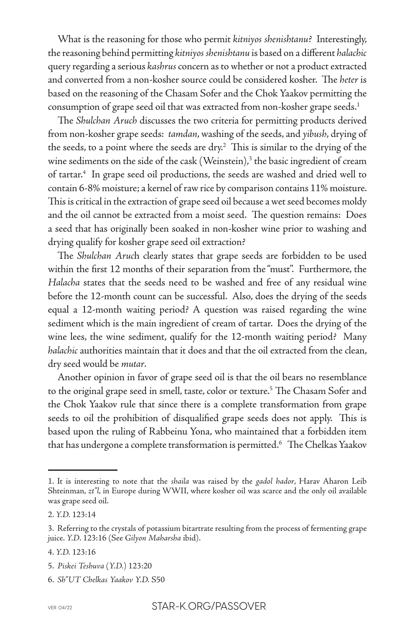What is the reasoning for those who permit *kitniyos shenishtanu*? Interestingly, the reasoning behind permitting *kitniyos shenishtanu* is based on a different *halachic* query regarding a serious *kashrus* concern as to whether or not a product extracted and converted from a non-kosher source could be considered kosher. The *heter* is based on the reasoning of the Chasam Sofer and the Chok Yaakov permitting the consumption of grape seed oil that was extracted from non-kosher grape seeds.<sup>1</sup>

The *Shulchan Aruch* discusses the two criteria for permitting products derived from non-kosher grape seeds: *tamdan*, washing of the seeds, and *yibush*, drying of the seeds, to a point where the seeds are dry. $2$  This is similar to the drying of the wine sediments on the side of the cask  $(Weinstein)<sup>3</sup>$  the basic ingredient of cream of tartar.4 In grape seed oil productions, the seeds are washed and dried well to contain 6-8% moisture; a kernel of raw rice by comparison contains 11% moisture. This is critical in the extraction of grape seed oil because a wet seed becomes moldy and the oil cannot be extracted from a moist seed. The question remains: Does a seed that has originally been soaked in non-kosher wine prior to washing and drying qualify for kosher grape seed oil extraction?

The *Shulchan Aruc*h clearly states that grape seeds are forbidden to be used within the first 12 months of their separation from the "must". Furthermore, the *Halacha* states that the seeds need to be washed and free of any residual wine before the 12-month count can be successful. Also, does the drying of the seeds equal a 12-month waiting period? A question was raised regarding the wine sediment which is the main ingredient of cream of tartar. Does the drying of the wine lees, the wine sediment, qualify for the 12-month waiting period? Many *halachic* authorities maintain that it does and that the oil extracted from the clean, dry seed would be *mutar*.

Another opinion in favor of grape seed oil is that the oil bears no resemblance to the original grape seed in smell, taste, color or texture.<sup>5</sup> The Chasam Sofer and the Chok Yaakov rule that since there is a complete transformation from grape seeds to oil the prohibition of disqualified grape seeds does not apply. This is based upon the ruling of Rabbeinu Yona, who maintained that a forbidden item that has undergone a complete transformation is permitted.<sup>6</sup> The Chelkas Yaakov

<sup>1.</sup> It is interesting to note that the *shaila* was raised by the *gadol hador*, Harav Aharon Leib Shteinman, *zt"l*, in Europe during WWII, where kosher oil was scarce and the only oil available was grape seed oil.

<sup>2.</sup> *Y.D.* 123:14

<sup>3.</sup> Referring to the crystals of potassium bitartrate resulting from the process of fermenting grape juice. *Y.D*. 123:16 (See *Gilyon Maharsha* ibid).

<sup>4.</sup> *Y.D.* 123:16

<sup>5.</sup> *Piskei Teshuva* (*Y.D.*) 123:20

<sup>6.</sup> *Sh"UT Chelkas Yaakov Y.D.* S50